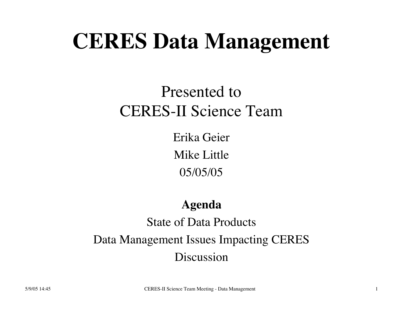# **CERES Data Management**

### Presented to CERES-II Science Team

Erika Geier Mike Little 05/05/05

#### **Agenda**

State of Data Products Data Management Issues Impacting CERES Discussion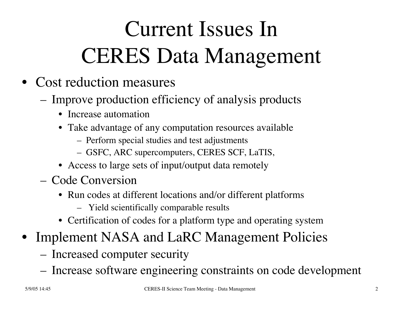# Current Issues In CERES Data Management

- Cost reduction measures
	- Improve production efficiency of analysis products
		- Increase automation
		- Take advantage of any computation resources available
			- Perform special studies and test adjustments
			- GSFC, ARC supercomputers, CERES SCF, LaTIS,
		- Access to large sets of input/output data remotely
	- Code Conversion
		- Run codes at different locations and/or different platforms
			- Yield scientifically comparable results
		- Certification of codes for a platform type and operating system
- Implement NASA and LaRC Management Policies
	- Increased computer security
	- Increase software engineering constraints on code development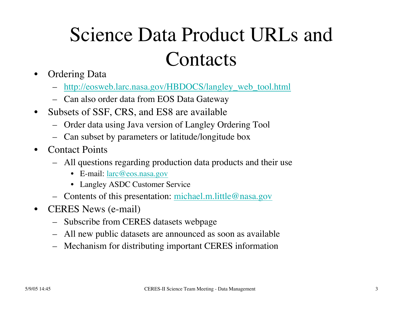## Science Data Product URLs and **Contacts**

- Ordering Data
	- http://eosweb.larc.nasa.gov/HBDOCS/langley\_web\_tool.html
	- Can also order data from EOS Data Gateway
- Subsets of SSF, CRS, and ES8 are available
	- Order data using Java version of Langley Ordering Tool
	- Can subset by parameters or latitude/longitude box
- Contact Points
	- All questions regarding production data products and their use
		- E-mail: larc@eos.nasa.gov
		- Langley ASDC Customer Service
	- Contents of this presentation: michael.m.little@nasa.gov
- **CERES** News (e-mail)
	- Subscribe from CERES datasets webpage
	- All new public datasets are announced as soon as available
	- Mechanism for distributing important CERES information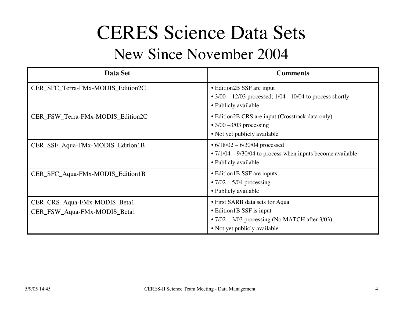### CERES Science Data Sets

### New Since November 2004

| Data Set                                                     | <b>Comments</b>                                                                                                                                     |
|--------------------------------------------------------------|-----------------------------------------------------------------------------------------------------------------------------------------------------|
| CER_SFC_Terra-FMx-MODIS_Edition2C                            | • Edition 2B SSF are input<br>• $3/00 - 12/03$ processed; $1/04 - 10/04$ to process shortly                                                         |
|                                                              | • Publicly available                                                                                                                                |
| CER_FSW_Terra-FMx-MODIS_Edition2C                            | • Edition2B CRS are input (Crosstrack data only)<br>$\bullet$ 3/00 -3/03 processing<br>• Not yet publicly available                                 |
| CER_SSF_Aqua-FMx-MODIS_Edition1B                             | • $6/18/02 - 6/30/04$ processed<br>$\cdot$ 7/1/04 – 9/30/04 to process when inputs become available<br>• Publicly available                         |
| CER_SFC_Aqua-FMx-MODIS_Edition1B                             | • Edition 1B SSF are inputs<br>$\cdot$ 7/02 – 5/04 processing<br>• Publicly available                                                               |
| CER_CRS_Aqua-FMx-MODIS_Beta1<br>CER_FSW_Aqua-FMx-MODIS_Beta1 | • First SARB data sets for Aqua<br>• Edition 1B SSF is input<br>• $7/02 - 3/03$ processing (No MATCH after $3/03$ )<br>• Not yet publicly available |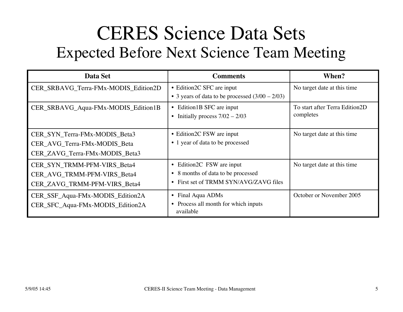### CERES Science Data Sets Expected Before Next Science Team Meeting

| Data Set                                                                                        | <b>Comments</b>                                                                                            | When?                                       |
|-------------------------------------------------------------------------------------------------|------------------------------------------------------------------------------------------------------------|---------------------------------------------|
| CER_SRBAVG_Terra-FMx-MODIS_Edition2D                                                            | • Edition 2C SFC are input<br>• 3 years of data to be processed $(3/00 – 2/03)$                            | No target date at this time                 |
| CER_SRBAVG_Aqua-FMx-MODIS_Edition1B                                                             | • Edition1B SFC are input<br>• Initially process $7/02 - 2/03$                                             | To start after Terra Edition2D<br>completes |
| CER_SYN_Terra-FMx-MODIS_Beta3<br>CER_AVG_Terra-FMx-MODIS_Beta<br>CER_ZAVG_Terra-FMx-MODIS_Beta3 | • Edition 2C FSW are input<br>• 1 year of data to be processed                                             | No target date at this time                 |
| CER_SYN_TRMM-PFM-VIRS_Beta4<br>CER_AVG_TRMM-PFM-VIRS_Beta4<br>CER_ZAVG_TRMM-PFM-VIRS_Beta4      | • Edition 2C FSW are input<br>• 8 months of data to be processed<br>• First set of TRMM SYN/AVG/ZAVG files | No target date at this time                 |
| CER_SSF_Aqua-FMx-MODIS_Edition2A<br>CER_SFC_Aqua-FMx-MODIS_Edition2A                            | • Final Aqua ADMs<br>Process all month for which inputs<br>$\bullet$<br>available                          | October or November 2005                    |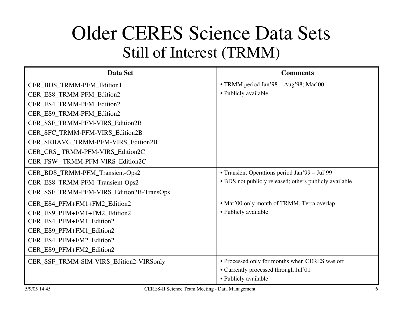### Older CERES Science Data Sets Still of Interest (TRMM)

| Data Set                                 | <b>Comments</b>                                        |
|------------------------------------------|--------------------------------------------------------|
| CER_BDS_TRMM-PFM_Edition1                | • TRMM period Jan'98 – Aug'98; Mar'00                  |
| CER_ES8_TRMM-PFM_Edition2                | • Publicly available                                   |
| CER_ES4_TRMM-PFM_Edition2                |                                                        |
| CER_ES9_TRMM-PFM_Edition2                |                                                        |
| CER_SSF_TRMM-PFM-VIRS_Edition2B          |                                                        |
| CER_SFC_TRMM-PFM-VIRS_Edition2B          |                                                        |
| CER_SRBAVG_TRMM-PFM-VIRS_Edition2B       |                                                        |
| CER_CRS_TRMM-PFM-VIRS_Edition2C          |                                                        |
| CER_FSW_TRMM-PFM-VIRS_Edition2C          |                                                        |
| CER_BDS_TRMM-PFM_Transient-Ops2          | • Transient Operations period Jan'99 - Jul'99          |
| CER_ES8_TRMM-PFM_Transient-Ops2          | • BDS not publicly released; others publicly available |
| CER_SSF_TRMM-PFM-VIRS_Edition2B-TransOps |                                                        |
| CER_ES4_PFM+FM1+FM2_Edition2             | • Mar'00 only month of TRMM, Terra overlap             |
| CER_ES9_PFM+FM1+FM2_Edition2             | • Publicly available                                   |
| CER_ES4_PFM+FM1_Edition2                 |                                                        |
| CER_ES9_PFM+FM1_Edition2                 |                                                        |
| CER_ES4_PFM+FM2_Edition2                 |                                                        |
| CER_ES9_PFM+FM2_Edition2                 |                                                        |
| CER_SSF_TRMM-SIM-VIRS_Edition2-VIRSonly  | • Processed only for months when CERES was off         |
|                                          | • Currently processed through Jul'01                   |
|                                          | • Publicly available                                   |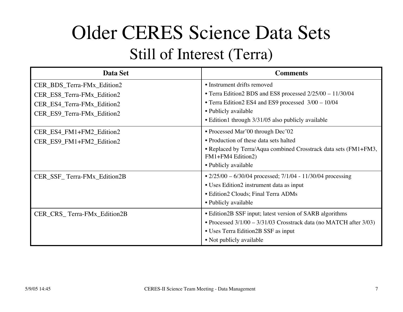## Older CERES Science Data Sets

#### Still of Interest (Terra)

| Data Set                                                                                                             | <b>Comments</b>                                                                                                                                                                                                                 |
|----------------------------------------------------------------------------------------------------------------------|---------------------------------------------------------------------------------------------------------------------------------------------------------------------------------------------------------------------------------|
| CER_BDS_Terra-FMx_Edition2<br>CER_ES8_Terra-FMx_Edition2<br>CER_ES4_Terra-FMx_Edition2<br>CER_ES9_Terra-FMx_Edition2 | • Instrument drifts removed<br>• Terra Edition2 BDS and ES8 processed 2/25/00 - 11/30/04<br>• Terra Edition2 ES4 and ES9 processed $3/00 - 10/04$<br>• Publicly available<br>• Edition1 through 3/31/05 also publicly available |
| CER_ES4_FM1+FM2_Edition2<br>CER_ES9_FM1+FM2_Edition2                                                                 | • Processed Mar'00 through Dec'02<br>• Production of these data sets halted<br>• Replaced by Terra/Aqua combined Crosstrack data sets (FM1+FM3,<br>FM1+FM4 Edition2)<br>• Publicly available                                    |
| CER_SSF_Terra-FMx_Edition2B                                                                                          | • $2/25/00 - 6/30/04$ processed; $7/1/04 - 11/30/04$ processing<br>• Uses Edition2 instrument data as input<br>• Edition2 Clouds; Final Terra ADMs<br>• Publicly available                                                      |
| CER_CRS_Terra-FMx_Edition2B                                                                                          | • Edition 2B SSF input; latest version of SARB algorithms<br>• Processed 3/1/00 - 3/31/03 Crosstrack data (no MATCH after 3/03)<br>• Uses Terra Edition 2B SSF as input<br>• Not publicly available                             |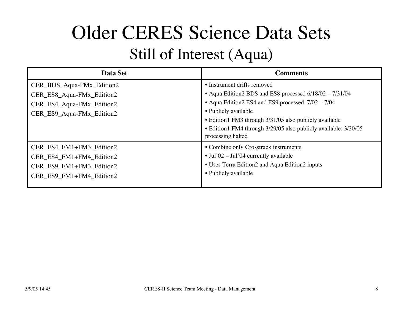## Older CERES Science Data Sets

### Still of Interest (Aqua)

| Data Set                                                                                                         | <b>Comments</b>                                                                                                                                                                                                                                                                                                       |
|------------------------------------------------------------------------------------------------------------------|-----------------------------------------------------------------------------------------------------------------------------------------------------------------------------------------------------------------------------------------------------------------------------------------------------------------------|
| CER_BDS_Aqua-FMx_Edition2<br>CER_ES8_Aqua-FMx_Edition2<br>CER_ES4_Aqua-FMx_Edition2<br>CER_ES9_Aqua-FMx_Edition2 | • Instrument drifts removed<br>• Aqua Edition2 BDS and ES8 processed 6/18/02 - 7/31/04<br>• Aqua Edition2 ES4 and ES9 processed 7/02 – 7/04<br>• Publicly available<br>• Edition1 FM3 through 3/31/05 also publicly available<br>• Edition1 FM4 through 3/29/05 also publicly available; 3/30/05<br>processing halted |
| CER_ES4_FM1+FM3_Edition2<br>CER_ES4_FM1+FM4_Edition2<br>CER_ES9_FM1+FM3_Edition2<br>CER_ES9_FM1+FM4_Edition2     | • Combine only Crosstrack instruments<br>$\bullet$ Jul'02 - Jul'04 currently available<br>• Uses Terra Edition2 and Aqua Edition2 inputs<br>• Publicly available                                                                                                                                                      |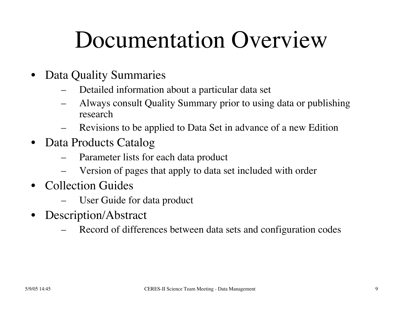# Documentation Overview

- Data Quality Summaries
	- Detailed information about a particular data set
	- Always consult Quality Summary prior to using data or publishing research
	- Revisions to be applied to Data Set in advance of a new Edition
- Data Products Catalog
	- Parameter lists for each data product
	- Version of pages that apply to data set included with order
- Collection Guides
	- User Guide for data product
- Description/Abstract
	- Record of differences between data sets and configuration codes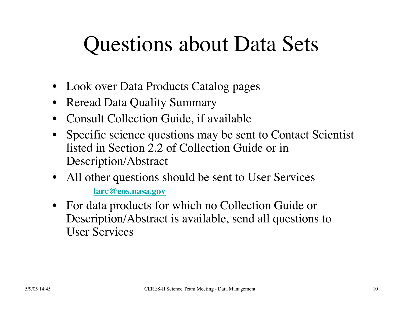## Questions about Data Sets

- Look over Data Products Catalog pages
- Reread Data Quality Summary
- Consult Collection Guide, if available
- Specific science questions may be sent to Contact Scientist listed in Section 2.2 of Collection Guide or in Description/Abstract
- All other questions should be sent to User Services **larc@eos.nasa.gov**
- For data products for which no Collection Guide or Description/Abstract is available, send all questions to User Services